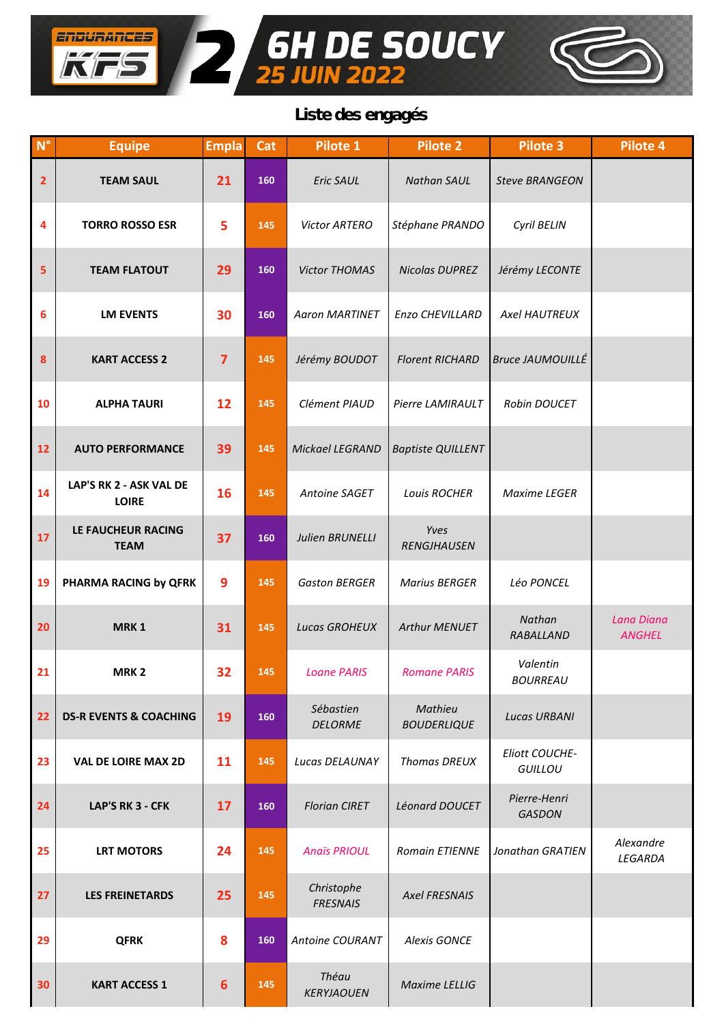

**6H** 

ENDURANCES

 $\frac{1}{\sqrt{2}}$ 

 $\frac{1}{2}$ 

**H DE SOUCY**<br>JUIN 2022

| $N^{\circ}$    | <b>Equipe</b>                           | <b>Empla</b> | Cat | Pilote 1                      | <b>Pilote 2</b>               | <b>Pilote 3</b>                         | Pilote 4                    |
|----------------|-----------------------------------------|--------------|-----|-------------------------------|-------------------------------|-----------------------------------------|-----------------------------|
| $\overline{2}$ | <b>TEAM SAUL</b>                        | 21           | 160 | Eric SAUL                     | <b>Nathan SAUL</b>            | <b>Steve BRANGEON</b>                   |                             |
| 4              | <b>TORRO ROSSO ESR</b>                  | 5            | 145 | Victor ARTERO                 | Stéphane PRANDO               | Cyril BELIN                             |                             |
| 5              | <b>TEAM FLATOUT</b>                     | 29           | 160 | <b>Victor THOMAS</b>          | <b>Nicolas DUPREZ</b>         | Jérémy LECONTE                          |                             |
| 6              | <b>LM EVENTS</b>                        | 30           | 160 | <b>Aaron MARTINET</b>         | Enzo CHEVILLARD               | <b>Axel HAUTREUX</b>                    |                             |
| 8              | <b>KART ACCESS 2</b>                    | 7            | 145 | Jérémy BOUDOT                 | <b>Florent RICHARD</b>        | <b>Bruce JAUMOUILLÉ</b>                 |                             |
| 10             | <b>ALPHA TAURI</b>                      | 12           | 145 | Clément PIAUD                 | Pierre LAMIRAULT              | Robin DOUCET                            |                             |
| 12             | <b>AUTO PERFORMANCE</b>                 | 39           | 145 | Mickael LEGRAND               | <b>Baptiste QUILLENT</b>      |                                         |                             |
| 14             | LAP'S RK 2 - ASK VAL DE<br><b>LOIRE</b> | 16           | 145 | Antoine SAGET                 | Louis ROCHER                  | Maxime LEGER                            |                             |
| 17             | LE FAUCHEUR RACING<br><b>TEAM</b>       | 37           | 160 | <b>Julien BRUNELLI</b>        | Yves<br>RENGJHAUSEN           |                                         |                             |
| 19             | PHARMA RACING by QFRK                   | 9            | 145 | <b>Gaston BERGER</b>          | <b>Marius BERGER</b>          | Léo PONCEL                              |                             |
| 20             | MRK <sub>1</sub>                        | 31           | 145 | <b>Lucas GROHEUX</b>          | Arthur MENUET                 | Nathan<br>RABALLAND                     | Lana Diana<br><b>ANGHEL</b> |
| 21             | MRK <sub>2</sub>                        | 32           | 145 | <b>Loane PARIS</b>            | <b>Romane PARIS</b>           | Valentin<br><b>BOURREAU</b>             |                             |
| 22             | <b>DS-R EVENTS &amp; COACHING</b>       | 19           | 160 | Sébastien<br><b>DELORME</b>   | Mathieu<br><b>BOUDERLIQUE</b> | <b>Lucas URBANI</b>                     |                             |
| 23             | <b>VAL DE LOIRE MAX 2D</b>              | 11           | 145 | Lucas DELAUNAY                | <b>Thomas DREUX</b>           | <b>Eliott COUCHE-</b><br><b>GUILLOU</b> |                             |
| 24             | LAP'S RK 3 - CFK                        | 17           | 160 | <b>Florian CIRET</b>          | Léonard DOUCET                | Pierre-Henri<br><b>GASDON</b>           |                             |
| 25             | <b>LRT MOTORS</b>                       | 24           | 145 | <b>Anaïs PRIOUL</b>           | <b>Romain ETIENNE</b>         | Jonathan GRATIEN                        | Alexandre<br>LEGARDA        |
| 27             | <b>LES FREINETARDS</b>                  | 25           | 145 | Christophe<br><b>FRESNAIS</b> | <b>Axel FRESNAIS</b>          |                                         |                             |
| 29             | <b>QFRK</b>                             | 8            | 160 | Antoine COURANT               | <b>Alexis GONCE</b>           |                                         |                             |
| 30             | <b>KART ACCESS 1</b>                    | 6            | 145 | Théau<br><b>KERYJAOUEN</b>    | Maxime LELLIG                 |                                         |                             |